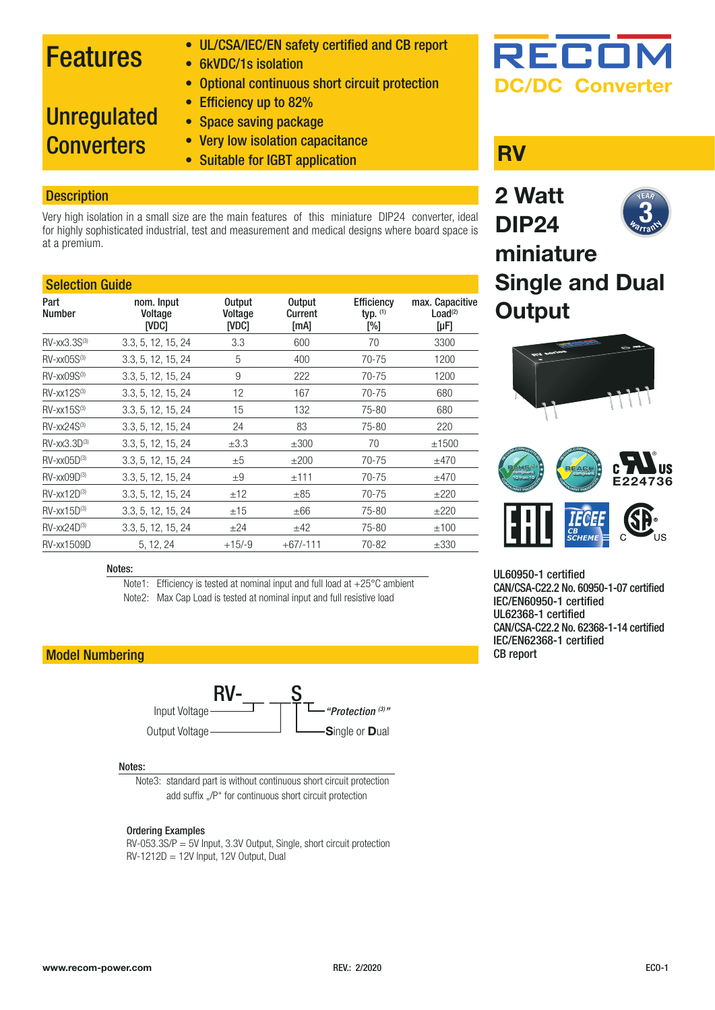## Features

- UL/CSA/IEC/EN safety certified and CB report
- 6kVDC/1s isolation
- Optional continuous short circuit protection

## **Unregulated Converters**

- Efficiency up to 82% • Space saving package
- Very low isolation capacitance
- Suitable for IGBT application **RV**

## **Description**

Very high isolation in a small size are the main features of this miniature DIP24 converter, ideal for highly sophisticated industrial, test and measurement and medical designs where board space is at a premium.

## Selection Guide

| Part<br><b>Number</b>         | nom. Input<br>Voltage<br><b>INDCI</b> | <b>Output</b><br>Voltage<br><b>IVDC1</b> | <b>Output</b><br>Current<br>[mA] | <b>Efficiency</b><br>typ. $(1)$<br>$N_{\odot}$ | max. Capacitive<br>Load <sup>(2)</sup><br>[µF] |
|-------------------------------|---------------------------------------|------------------------------------------|----------------------------------|------------------------------------------------|------------------------------------------------|
| $RV-xx3.3S^{(3)}$             | 3.3, 5, 12, 15, 24                    | 3.3                                      | 600                              | 70                                             | 3300                                           |
| $RV$ -xx $05S^{(3)}$          | 3.3, 5, 12, 15, 24                    | 5                                        | 400                              | $70 - 75$                                      | 1200                                           |
| $RV$ -xx $09S^{(3)}$          | 3.3, 5, 12, 15, 24                    | 9                                        | 222                              | 70-75                                          | 1200                                           |
| $RV$ -xx12 $S$ <sup>(3)</sup> | 3.3, 5, 12, 15, 24                    | 12                                       | 167                              | 70-75                                          | 680                                            |
| $RV$ -xx15 $S$ <sup>(3)</sup> | 3.3, 5, 12, 15, 24                    | 15                                       | 132                              | 75-80                                          | 680                                            |
| $RV$ -xx24 $S$ <sup>(3)</sup> | 3.3, 5, 12, 15, 24                    | 24                                       | 83                               | 75-80                                          | 220                                            |
| $RV-xx3.3D^{(3)}$             | 3.3, 5, 12, 15, 24                    | $\pm 3.3$                                | $\pm 300$                        | 70                                             | ±1500                                          |
| $RV-xx05D^{(3)}$              | 3.3, 5, 12, 15, 24                    | ±5                                       | $\pm 200$                        | $70 - 75$                                      | ±470                                           |
| $RV$ -xx $09D^{(3)}$          | 3.3, 5, 12, 15, 24                    | $+9$                                     | ±111                             | 70-75                                          | ±470                                           |
| $RV$ -xx12D $(3)$             | 3.3, 5, 12, 15, 24                    | ±12                                      | $\pm$ 85                         | $70 - 75$                                      | $+220$                                         |
| $RV-xx15D^{(3)}$              | 3.3, 5, 12, 15, 24                    | ±15                                      | ±66                              | 75-80                                          | ±220                                           |
| $RV$ -xx24 $D^{(3)}$          | 3.3, 5, 12, 15, 24                    | ±24                                      | ±42                              | 75-80                                          | ±100                                           |
| <b>RV-xx1509D</b>             | 5, 12, 24                             | $+15/ -9$                                | $+67/ -111$                      | 70-82                                          | $\pm 330$                                      |

#### Notes:

Note1: Efficiency is tested at nominal input and full load at +25°C ambient Note2: Max Cap Load is tested at nominal input and full resistive load

## Model Numbering



#### Notes:

Note3: standard part is without continuous short circuit protection add suffix "/P" for continuous short circuit protection

#### Ordering Examples

RV-053.3S/P = 5V Input, 3.3V Output, Single, short circuit protection RV-1212D = 12V Input, 12V Output, Dual



**Output**

## **2 Watt DIP24 miniature Single and Dual NEAR Warrant**  $\overline{3}_{\scriptscriptstyle \diamond}$





UL60950-1 certified CAN/CSA-C22.2 No. 60950-1-07 certified IEC/EN60950-1 certified UL62368-1 certified CAN/CSA-C22.2 No. 62368-1-14 certified IEC/EN62368-1 certified CB report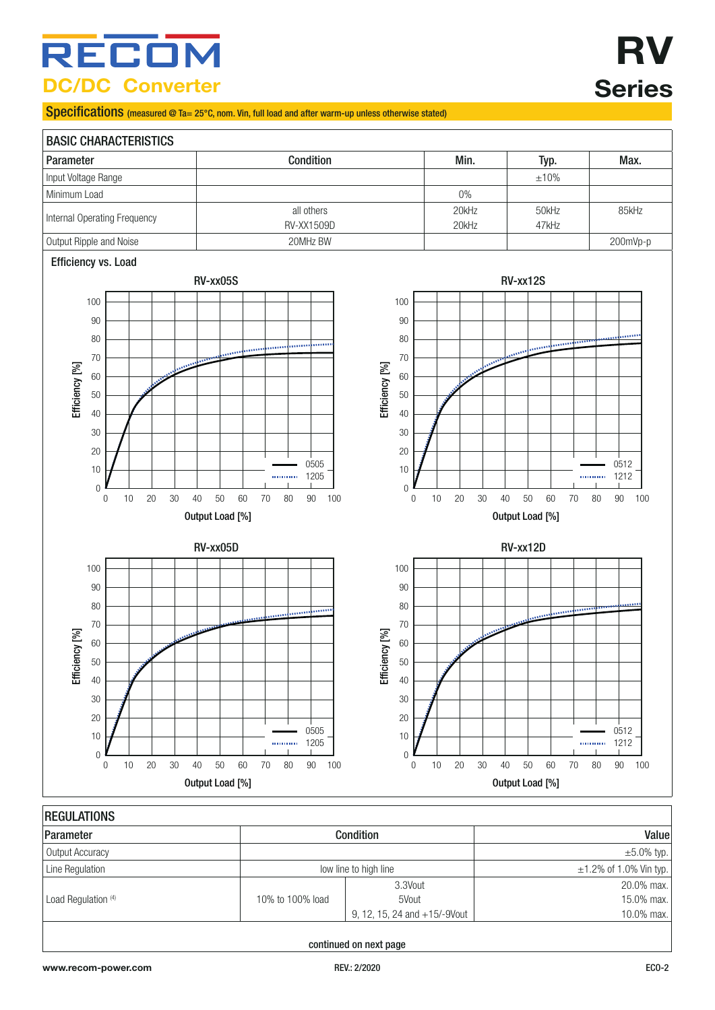## RECOM **DC/DC Converter**

Specifications (measured @ Ta= 25°C, nom. Vin, full load and after warm-up unless otherwise stated)



| <b>Condition</b>      |                                 | Value                        |
|-----------------------|---------------------------------|------------------------------|
|                       |                                 | $\pm 5.0\%$ typ.             |
| low line to high line |                                 | $\pm 1.2\%$ of 1.0% Vin typ. |
|                       | 3.3Vout                         | 20.0% max.                   |
| 10% to 100% load      | 5Vout                           | 15.0% max.                   |
|                       | 9, 12, 15, 24 and $+15/-9$ Vout | 10.0% max.                   |
|                       |                                 |                              |

continued on next page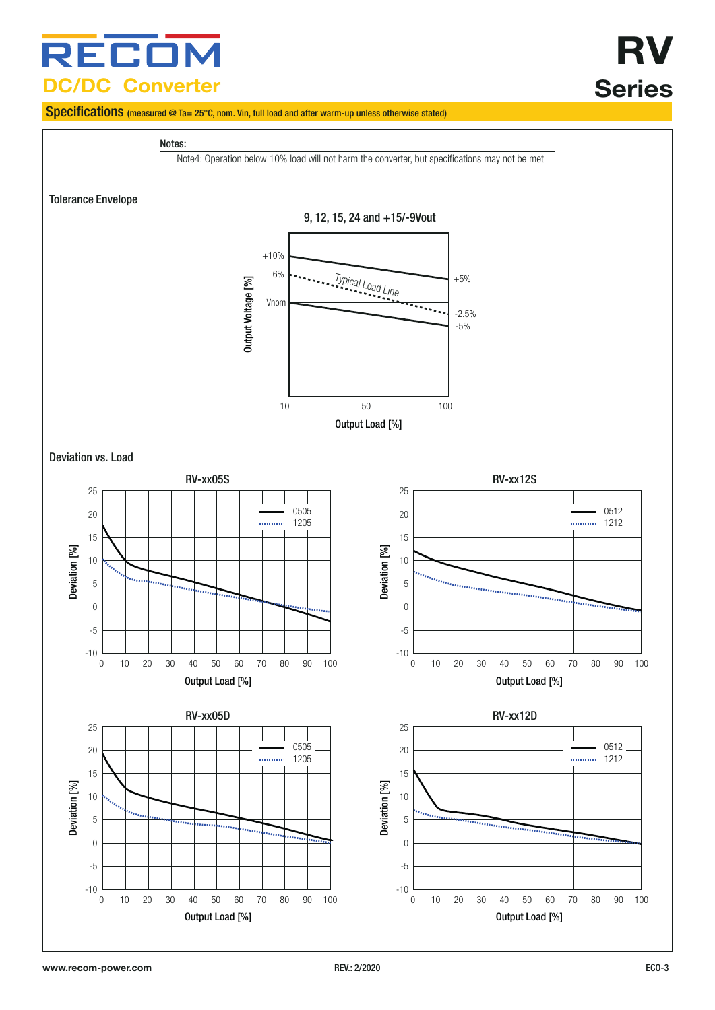## RECOI **DC/DC Converter**

# **RV Series**

## Specifications (measured @ Ta= 25°C, nom. Vin, full load and after warm-up unless otherwise stated)

#### Notes:

Note4: Operation below 10% load will not harm the converter, but specifications may not be met

Tolerance Envelope



Deviation vs. Load

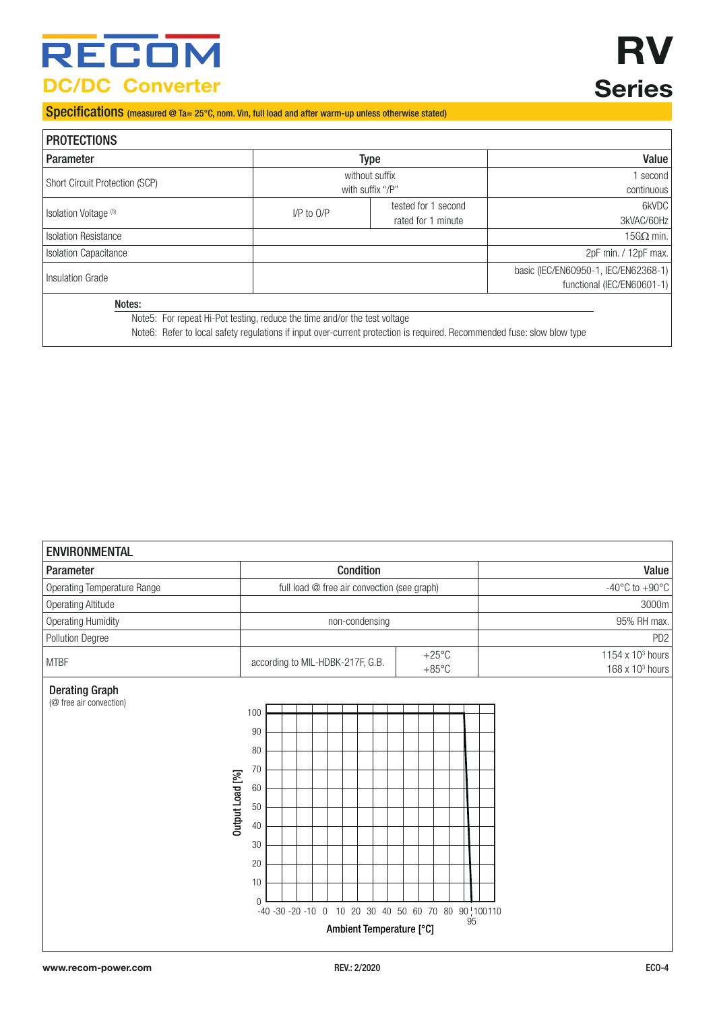## RECOM **DC/DC Converter**

# **RV Series**

Specifications (measured @ Ta= 25°C, nom. Vin, full load and after warm-up unless otherwise stated)

<span id="page-3-0"></span>

| <b>PROTECTIONS</b>               |                                                                           |                                                                                                                         |                                      |
|----------------------------------|---------------------------------------------------------------------------|-------------------------------------------------------------------------------------------------------------------------|--------------------------------------|
| Parameter                        |                                                                           | Type                                                                                                                    | Value                                |
| Short Circuit Protection (SCP)   |                                                                           | without suffix                                                                                                          | second l                             |
|                                  | with suffix "/P"                                                          |                                                                                                                         | continuous                           |
| Isolation Voltage <sup>(5)</sup> |                                                                           | tested for 1 second                                                                                                     | 6kVDC                                |
|                                  | $I/P$ to $O/P$                                                            | rated for 1 minute                                                                                                      | 3kVAC/60Hz                           |
| <b>Isolation Resistance</b>      |                                                                           |                                                                                                                         | $15$ G $\Omega$ min.                 |
| <b>Isolation Capacitance</b>     |                                                                           |                                                                                                                         | 2pF min. / 12pF max.                 |
|                                  |                                                                           |                                                                                                                         | basic (IEC/EN60950-1, IEC/EN62368-1) |
| <b>Insulation Grade</b>          |                                                                           |                                                                                                                         | functional (IEC/EN60601-1)           |
| Notes:                           |                                                                           |                                                                                                                         |                                      |
|                                  | Note5: For repeat Hi-Pot testing, reduce the time and/or the test voltage |                                                                                                                         |                                      |
|                                  |                                                                           | Note6: Refer to local safety regulations if input over-current protection is reguired. Recommended fuse: slow blow type |                                      |

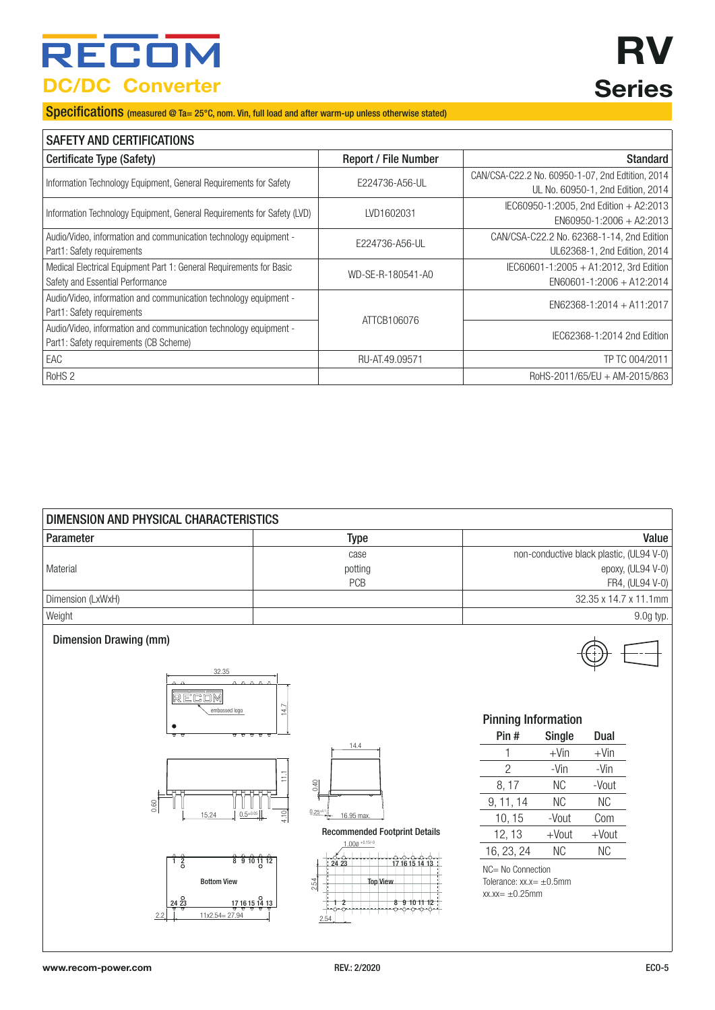## RECO **DC/DC Converter**

# **RV Series**

Specifications (measured @ Ta= 25°C, nom. Vin, full load and after warm-up unless otherwise stated)

| <b>SAFETY AND CERTIFICATIONS</b>                                                                            |                             |                                                                                       |  |
|-------------------------------------------------------------------------------------------------------------|-----------------------------|---------------------------------------------------------------------------------------|--|
| Certificate Type (Safety)                                                                                   | <b>Report / File Number</b> | <b>Standard</b>                                                                       |  |
| Information Technology Equipment, General Requirements for Safety                                           | E224736-A56-UL              | CAN/CSA-C22.2 No. 60950-1-07, 2nd Edtition, 2014<br>UL No. 60950-1, 2nd Edition, 2014 |  |
| Information Technology Equipment, General Requirements for Safety (LVD)                                     | LVD1602031                  | IEC60950-1:2005, 2nd Edition + A2:2013<br>EN60950-1:2006 + A2:2013                    |  |
| Audio/Video, information and communication technology equipment -<br>Part1: Safety requirements             | E224736-A56-UL              | CAN/CSA-C22.2 No. 62368-1-14, 2nd Edition<br>UL62368-1, 2nd Edition, 2014             |  |
| Medical Electrical Equipment Part 1: General Requirements for Basic<br>Safety and Essential Performance     | WD-SE-R-180541-A0           | IEC60601-1:2005 + A1:2012, 3rd Edition<br>$EN60601 - 1:2006 + A12:2014$               |  |
| Audio/Video, information and communication technology equipment -<br>Part1: Safety requirements             |                             | EN62368-1:2014 + A11:2017                                                             |  |
| Audio/Video, information and communication technology equipment -<br>Part1: Safety requirements (CB Scheme) | ATTCB106076                 | IEC62368-1:2014 2nd Edition                                                           |  |
| EAC                                                                                                         | RU-AT.49.09571              | TP TC 004/2011                                                                        |  |
| RoHS <sub>2</sub>                                                                                           |                             | RoHS-2011/65/EU + AM-2015/863                                                         |  |

| DIMENSION AND PHYSICAL CHARACTERISTICS |            |                                          |  |
|----------------------------------------|------------|------------------------------------------|--|
| Parameter                              | Type       | Value                                    |  |
|                                        | case       | non-conductive black plastic, (UL94 V-0) |  |
| Material                               | potting    | epoxy, (UL94 V-0)                        |  |
|                                        | <b>PCB</b> | FR4, (UL94 V-0)                          |  |
| Dimension (LxWxH)                      |            | $32.35 \times 14.7 \times 11.1$ mm       |  |
| Weight                                 |            | 9.0g typ.                                |  |